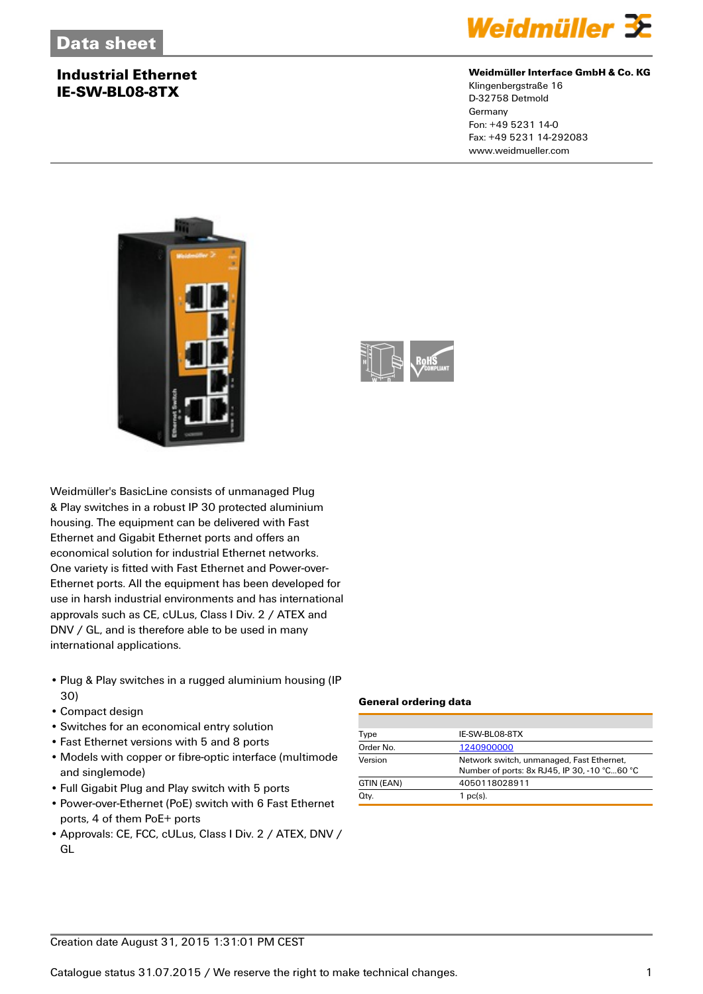### **Industrial Ethernet IE-SW-BL08-8TX**



### **Weidmüller Interface GmbH & Co. KG**

Klingenbergstraße 16 D-32758 Detmold Germany Fon: +49 5231 14-0 Fax: +49 5231 14-292083 www.weidmueller.com





Weidmüller's BasicLine consists of unmanaged Plug & Play switches in a robust IP 30 protected aluminium housing. The equipment can be delivered with Fast Ethernet and Gigabit Ethernet ports and offers an economical solution for industrial Ethernet networks. One variety is fitted with Fast Ethernet and Power-over-Ethernet ports. All the equipment has been developed for use in harsh industrial environments and has international approvals such as CE, cULus, Class I Div. 2 / ATEX and DNV / GL, and is therefore able to be used in many international applications.

- Plug & Play switches in a rugged aluminium housing (IP 30)
- Compact design
- Switches for an economical entry solution
- Fast Ethernet versions with 5 and 8 ports
- Models with copper or fibre-optic interface (multimode and singlemode)
- Full Gigabit Plug and Play switch with 5 ports
- Power-over-Ethernet (PoE) switch with 6 Fast Ethernet ports, 4 of them PoE+ ports
- Approvals: CE, FCC, cULus, Class I Div. 2 / ATEX, DNV / GL

### **General ordering data**

| Type       | IE-SW-BL08-8TX                                                                            |  |  |
|------------|-------------------------------------------------------------------------------------------|--|--|
| Order No.  | 1240900000                                                                                |  |  |
| Version    | Network switch, unmanaged, Fast Ethernet,<br>Number of ports: 8x RJ45, IP 30, -10 °C60 °C |  |  |
| GTIN (EAN) | 4050118028911                                                                             |  |  |
| Qty.       | $1$ pc(s).                                                                                |  |  |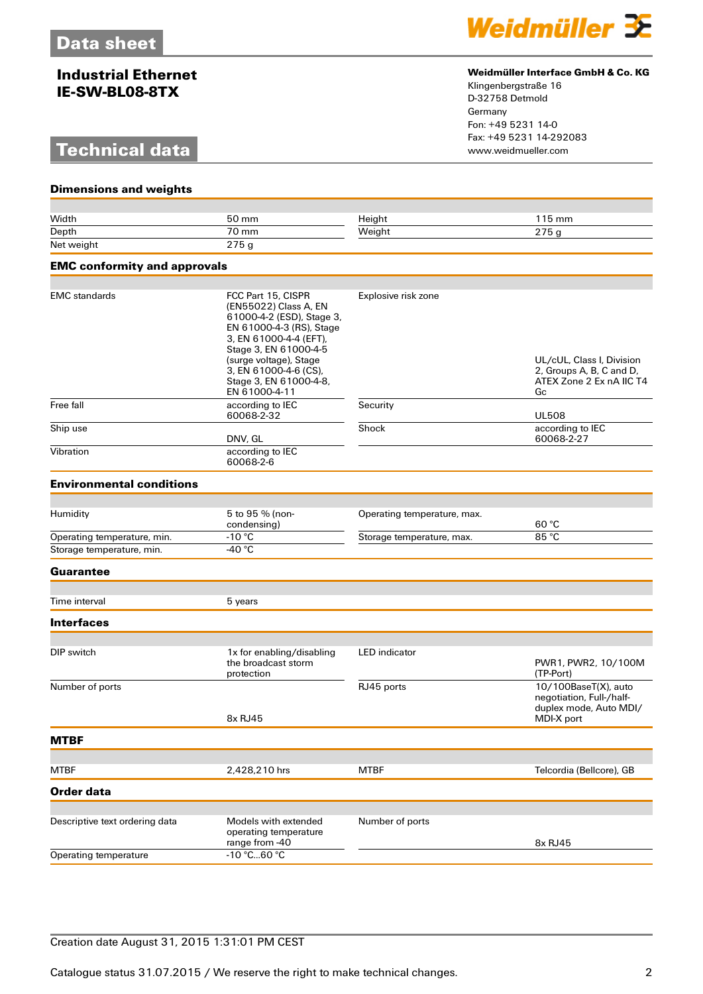### **Industrial Ethernet IE-SW-BL08-8TX**

## **Technical data**



### **Weidmüller Interface GmbH & Co. KG**

Klingenbergstraße 16 D-32758 Detmold Germany Fon: +49 5231 14-0 Fax: +49 5231 14-292083

| <b>Dimensions and weights</b>       |                                                                                                                                                                                                                                                       |                             |                                                                                                        |  |
|-------------------------------------|-------------------------------------------------------------------------------------------------------------------------------------------------------------------------------------------------------------------------------------------------------|-----------------------------|--------------------------------------------------------------------------------------------------------|--|
|                                     |                                                                                                                                                                                                                                                       |                             |                                                                                                        |  |
| Width                               | 50 mm                                                                                                                                                                                                                                                 | Height                      | 115 mm                                                                                                 |  |
| Depth                               | 70 mm                                                                                                                                                                                                                                                 | Weight                      | 275 g                                                                                                  |  |
| Net weight                          | 275g                                                                                                                                                                                                                                                  |                             |                                                                                                        |  |
| <b>EMC conformity and approvals</b> |                                                                                                                                                                                                                                                       |                             |                                                                                                        |  |
|                                     |                                                                                                                                                                                                                                                       |                             |                                                                                                        |  |
| <b>EMC</b> standards                | FCC Part 15, CISPR<br>(EN55022) Class A, EN<br>61000-4-2 (ESD), Stage 3,<br>EN 61000-4-3 (RS), Stage<br>3, EN 61000-4-4 (EFT),<br>Stage 3, EN 61000-4-5<br>(surge voltage), Stage<br>3, EN 61000-4-6 (CS),<br>Stage 3, EN 61000-4-8,<br>EN 61000-4-11 | Explosive risk zone         | UL/cUL, Class I, Division<br>2, Groups A, B, C and D,<br>ATEX Zone 2 Ex nA IIC T4<br>Gc                |  |
| Free fall                           | according to IEC<br>60068-2-32                                                                                                                                                                                                                        | Security                    | <b>UL508</b>                                                                                           |  |
| Ship use                            | DNV, GL                                                                                                                                                                                                                                               | Shock                       | according to IEC<br>60068-2-27                                                                         |  |
| Vibration                           | according to IEC<br>60068-2-6                                                                                                                                                                                                                         |                             |                                                                                                        |  |
| <b>Environmental conditions</b>     |                                                                                                                                                                                                                                                       |                             |                                                                                                        |  |
|                                     |                                                                                                                                                                                                                                                       |                             |                                                                                                        |  |
| Humidity                            | 5 to 95 % (non-<br>condensing)                                                                                                                                                                                                                        | Operating temperature, max. | 60 °C                                                                                                  |  |
| Operating temperature, min.         | $-10 °C$                                                                                                                                                                                                                                              | Storage temperature, max.   | 85 °C                                                                                                  |  |
| Storage temperature, min.           | -40 °C                                                                                                                                                                                                                                                |                             |                                                                                                        |  |
| Guarantee                           |                                                                                                                                                                                                                                                       |                             |                                                                                                        |  |
| Time interval                       | 5 years                                                                                                                                                                                                                                               |                             |                                                                                                        |  |
| <b>Interfaces</b>                   |                                                                                                                                                                                                                                                       |                             |                                                                                                        |  |
|                                     |                                                                                                                                                                                                                                                       |                             |                                                                                                        |  |
| DIP switch                          | 1x for enabling/disabling<br>the broadcast storm<br>protection                                                                                                                                                                                        | <b>LED</b> indicator        | PWR1, PWR2, 10/100M<br>(TP-Port)                                                                       |  |
| Number of ports                     | 8x RJ45                                                                                                                                                                                                                                               | RJ45 ports                  | $\overline{10/100B}$ aseT(X), auto<br>negotiation, Full-/half-<br>duplex mode, Auto MDI/<br>MDI-X port |  |
| <b>MTBF</b>                         |                                                                                                                                                                                                                                                       |                             |                                                                                                        |  |
|                                     |                                                                                                                                                                                                                                                       |                             |                                                                                                        |  |
| <b>MTBF</b>                         | 2,428,210 hrs                                                                                                                                                                                                                                         | <b>MTBF</b>                 | Telcordia (Bellcore), GB                                                                               |  |
| Order data                          |                                                                                                                                                                                                                                                       |                             |                                                                                                        |  |
|                                     |                                                                                                                                                                                                                                                       |                             |                                                                                                        |  |
| Descriptive text ordering data      | Models with extended<br>operating temperature                                                                                                                                                                                                         | Number of ports             |                                                                                                        |  |
| Operating temperature               | range from -40<br>-10 °C60 °C                                                                                                                                                                                                                         |                             | 8x RJ45                                                                                                |  |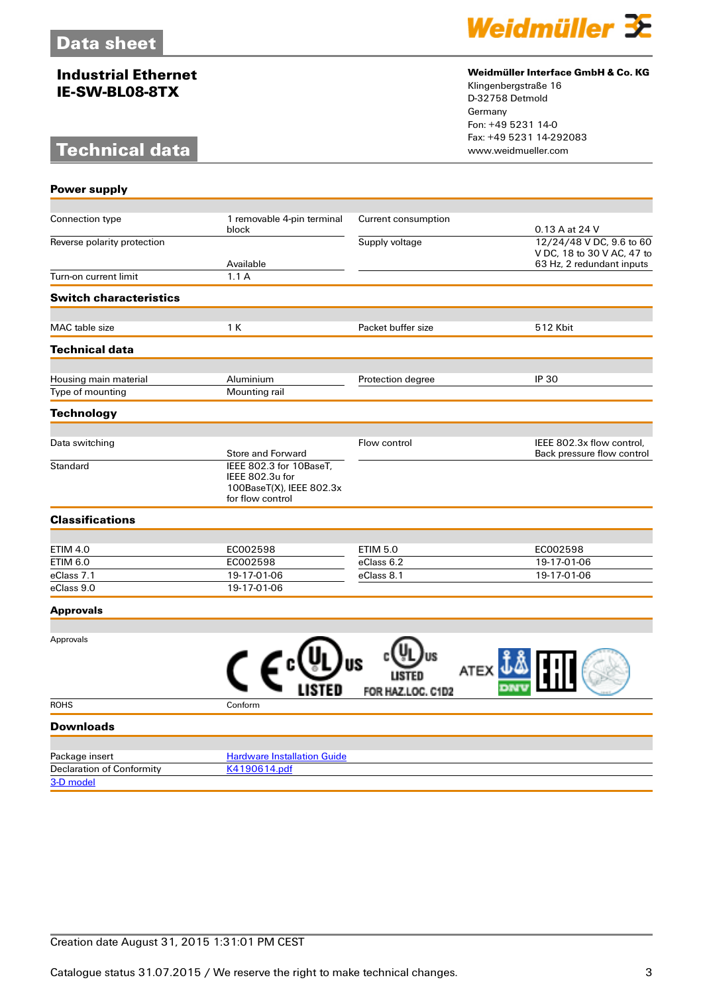### **Industrial Ethernet IE-SW-BL08-8TX**

# **Technical data**



### **Weidmüller Interface GmbH & Co. KG**

Klingenbergstraße 16 D-32758 Detmold Germany Fon: +49 5231 14-0 Fax: +49 5231 14-292083

| <b>Power supply</b>                       |                                              |                     |                                                         |
|-------------------------------------------|----------------------------------------------|---------------------|---------------------------------------------------------|
|                                           |                                              |                     |                                                         |
| Connection type                           | 1 removable 4-pin terminal                   | Current consumption |                                                         |
| Reverse polarity protection               | block                                        | Supply voltage      | 0.13 A at 24 V<br>12/24/48 V DC, 9.6 to 60              |
|                                           |                                              |                     | V DC, 18 to 30 V AC, 47 to                              |
|                                           | Available                                    |                     | 63 Hz, 2 redundant inputs                               |
| Turn-on current limit                     | 1.1A                                         |                     |                                                         |
| <b>Switch characteristics</b>             |                                              |                     |                                                         |
| MAC table size                            | 1 K                                          | Packet buffer size  | <b>512 Kbit</b>                                         |
| <b>Technical data</b>                     |                                              |                     |                                                         |
|                                           | Aluminium                                    |                     | <b>IP 30</b>                                            |
| Housing main material<br>Type of mounting | Mounting rail                                | Protection degree   |                                                         |
|                                           |                                              |                     |                                                         |
| <b>Technology</b>                         |                                              |                     |                                                         |
|                                           |                                              |                     |                                                         |
| Data switching                            | Store and Forward                            | Flow control        | IEEE 802.3x flow control,<br>Back pressure flow control |
| Standard                                  | IEEE 802.3 for 10BaseT.                      |                     |                                                         |
|                                           | IEEE 802.3u for                              |                     |                                                         |
|                                           | 100BaseT(X), IEEE 802.3x<br>for flow control |                     |                                                         |
| <b>Classifications</b>                    |                                              |                     |                                                         |
|                                           |                                              |                     |                                                         |
| <b>ETIM 4.0</b>                           | EC002598                                     | <b>ETIM 5.0</b>     | EC002598                                                |
| <b>ETIM 6.0</b>                           | EC002598                                     | eClass 6.2          | 19-17-01-06                                             |
| eClass 7.1<br>eClass 9.0                  | 19-17-01-06<br>19-17-01-06                   | eClass 8.1          | 19-17-01-06                                             |
|                                           |                                              |                     |                                                         |
| <b>Approvals</b>                          |                                              |                     |                                                         |
|                                           |                                              |                     |                                                         |
| Approvals                                 |                                              |                     |                                                         |
|                                           |                                              |                     |                                                         |
|                                           |                                              | ATEX                |                                                         |
|                                           |                                              | FOR HAZ.LOC. C1D2   |                                                         |
| <b>ROHS</b>                               | Conform                                      |                     |                                                         |
| <b>Downloads</b>                          |                                              |                     |                                                         |
| Package insert                            | <b>Hardware Installation Guide</b>           |                     |                                                         |
| <b>Declaration of Conformity</b>          | K4190614.pdf                                 |                     |                                                         |
| 3-D model                                 |                                              |                     |                                                         |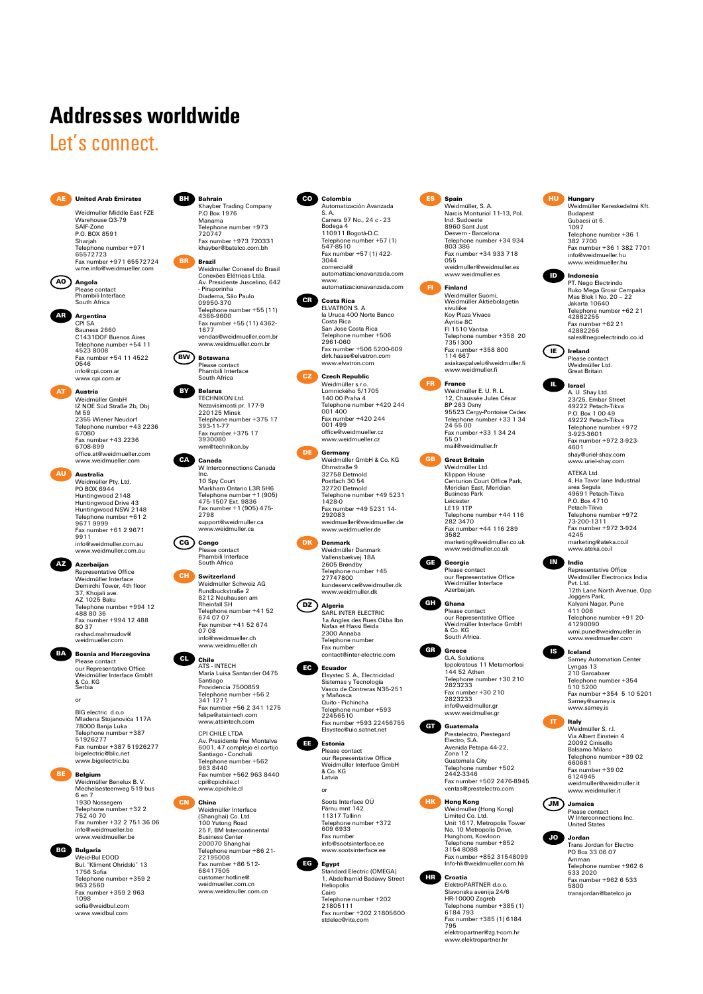# **Addresses worldwide**

# Let's connect.



Warehouse 03-79 SAIF-Zone SAIF-ZUIJE<br>P.O. BOX 8591 Sharjah<br>Telephone<br>65572723 e number +971 65572723 Fax number +971 65572724 wme.info@weidmueller.com

**AO Angola** Please contact Phambili Interface South Africa

**AR Argentina**

CPI SA<br>Bauness 2660 Bauness 2660 C1431DOF Buenos Aires Telephone number +54 11 4523 8008 Fax number +54 11 4522 0546 info@cpi.com.ar www.cpi.com.a

**AT Austria** Weidmüller GmbH IZ NOE Süd Straße 2b, Obj<br>M 59 าพ ออ<br>2355 Wiener Neudorf 2355 Wiener Neudorf Telephone number +43 2236 67080 Fax number +43 2236 6708-899 office.at@weidmueller.com www.weidmueller.com

**AU Australia** Weidmüller Pty. Ltd.<br>PO BOX 6944 PO BOX 6944 Huntingwood 2148 Huntingwood Drive 43 Huntingwood NSW 2148 Telephone number +61 2 9671 9999 Fax number +61 2 9671 9911 info@weidmuller.com.au www.weidmuller.com.au

**AZ Azerbaijan** Representative Office Weidmüller Interface Demirchi Tower, 4th floor 37, Khojali ave. AZ 1025 Baku Telephone number +994 12 488 80 36 Fax number +994 12 488 80 37 rashad.mahmudov@ weidmueller.com



Please contact our Representative Office Weidmüller Interface GmbH & Co. KG Serbia

BIG electric d.o.o Mladena Stojanovića 117A 78000 Banja Luka Telephone number +387 51926277 Fax number +387 51926277 bigelectric@blic.net www.bigelectric.ba

or

**Belgium**<br>
Weidmüller Benelux B. V.<br>
6 en 7<br>
6 en 7<br>
1930 Nossegem<br>
Telephone number +32 2<br>
752 40 70<br>
Fax number +32 2 751 36 06 info@weidmueller.be www.weidmueller.be

> Bul. "Kliment Ohridski" 13 1756 Sofia Telephone number +359 2 963 2560 Fax number +359 2 963 1098 sofia@weidbul.com www.weidbul.com



Weidmuller Middle East FZE

Khayber Trading Company P.O Box 1976 Manama Telephone number +973 720747 Fax number +973 720331 khayber@batelco.com.bh **BR Brazil**

**Bahrain** 

Weidmuller Conexel do Brasil Conexões Elétricas Ltda. Av. Presidente Juscelino, 642 - Piraporinha Diadema, São Paulo 09950-370 Telephone number +55 (11) 4366-9600 Fax number +55 (11) 4362- 1677 vendas@weidmueller.com.br www.weidmueller.com.b



**BY Belarus** TECHNIKON Ltd. Nezavisimosti pr. 177-9 220125 Minsk \_\_\_ .\_\_ ..........<br>Telephone number +375 17<br>393-11-77 393-11-77 Fax number +375 17 3930080 wm@technikon.by

**CA Canada** W Interconnections Canada



**CG Congo** Please contact Phambili Interface South Africa

**CH Switzerland** Weidmüller Schweiz AG Rundbuckstraße 2 8212 Neuhausen am<br>Rheinfall SH Rheinfall SH Telephone number +41 52 674 07 07 Fax number +41 52 674 07 08 info@weidmueller.ch www.weidmueller.ch



Santiago Providencia 7500859 Telephone number +56 2 341 1271 Fax number +56 2 341 1275 felipe@atsintech.com www.atsintech.com

CPI CHILE LTDA Av. Presidente Frei Montalva 6001, 47 complejo el cortijo Santiago - Conchali Telephone number +562 963 8440 Fax number +562 963 8440 cpi@cpichile.cl www.cpichile.cl

**CN China** Weidmüller Interface (Shanghai) Co. Ltd. 100 Yutong Road 25 F, BM Intercontinental Business Center 200070 Shanghai Telephone number +86 21- 22195008 Fax number +86 512- 68417505

**CO Colombia** Automatización Avanzada S. A. Carrera 97 No., 24 c - 23 Bodega 4 110911 Bogotá-D.C. Telephone number +57 (1) 547-8510 Fax number +57 (1) 422- 3044 comercial@ automatizacionavanzada.com www. automatizacionavanzada.com

**CR Costa Rica** ELVATRON S. A. la Uruca 400 Norte Banco Costa Rica San Jose Costa Rica Telephone number +506 2961-060 Fax number +506 5200-609 dirk.haase@elvatron.com www.elvatron.com

**CZ**<br> **Czech Republic**<br>
Lomnického 5/1705<br>
140 00 Praha 4<br>
Telephone number +420 244<br>
001 400 Fax number +420 244 001 499 office@weidmueller.cz www.weidmueller.cz

**DE** Germany<br>
Weidmüller GmbH & Co. KG<br>
Ohmstraße 9<br>
Postfach 30 54<br>
Postfach 30 54<br>
32720 Detmold Telephone number +49 5231 1428-0 Fax number +49 5231 14- 292083 weidmueller@weidmueller.de www.weidmueller.de

**DK**<br>
Weidmüller Danmark<br>
Vallensbækvej 18A<br>
2605 Brøndby<br>
Telephone number +45<br>
27747800 kundeservice@weidmuller.dk www.weidmuller.dk

**DZ**<br>
SARL INTER ELECTRIC<br>
1a Angles des Rues Okba Ibn<br>
Nafaa et Hassi Beida<br>
2300 Annaba<br>
Telephone number<br>
Fax number contact@inter-electric.com

**EC Ecuador** Elsystec S. A., Electricidad Sistemas y Tecnología Vasco de Contreras N35-251 y Mañosca Quito - Pichincha Telephone number +593 22456510 Fax number +593 22456755 Elsystec@uio.satnet.net

**EE Estonia** Please contact our Representative Office Weidmüller Interface GmbH & Co. KG Latvia

> Soots Interface OÜ Pärnu mnt 142 11317 Tallinn Telephone number +372 609 6933 Fax number info@sootsinterface.ee www.cootsinterface.ee or



**EG Egypt** Standard Electric (OMEGA) 1, Abdelhamid Badawy Street Heliopolis Cairo Telephone number +202 21805111 Fax number +202 21805600 stdelec@rite.com



Telephone number +34 934 803 386 Fax number +34 933 718 055 บ55<br>weidmuller@weidmuller.es www.weidmuller.es



Fax number +358 800 114 667 asiakaspalvelu@weidmuller.fi www.weidmuller.fi

**FR** France<br>
Weidmüller E. U. R. L.<br>
12, Chaussée Jules César<br>
BP 263 Osny<br>
95523 Cergy-Pontoise Cedex Telephone number +33 1 34 24 55 00 Fax number +33 1 34 24 55 01 mail@weidmuller.fr

**GB Great Britain** Weidmüller Ltd. Klippon House Centurion Court Office Park, Meridian East, Meridian Business Park Leicester LE19 1TP Telephone number +44 116 282 3470 Fax number +44 116 289 3582 marketing@weidmuller.co.uk www.weidmuller.co.uk

**GE Georgia** Please contact our Representative Office Weidmüller Interface Azerbaijan.



Please contact our Representative Office Weidmüller Interface GmbH & Co. KG South Africa.



**GT Guatemala**

Prestelectro, Prestegard Electro, S.A. Avenida Petapa 44-22, Zona 12 Guatemala City Telephone number +502 2442-3346 Fax number +502 2476-8945 ventas@prestelectro.com

Fax number +30 210 2823233 info@weidmuller.gr www.weidmuller.gr



**HK Hong Kong**<br>
Weidmuller (Hong Kong)<br>
Limited Co. Ltd.<br>
Unit 1617, Metropolis Tower No. 10 Metropolis Drive, Hunghom, Kowloon Telephone number +852 3154 8088 Fax number +852 31548099 Info-hk@weidmueller.com.hk

**HR Croatia** ElektroPARTNER d.o.o. Slavonska avenija 24/6 HR-10000 Zagreb Telephone number +385 (1) 6184 793 Fax number +385 (1) 6184 795 elektropartner@zg.t-com.hr www.elektropartner.h



**ID Indonesia** PT. Nego Electrindo Ruko Mega Grosir Cempaka Mas Blok I No. 20 – 22 Jakarta 10640 Telephone number +62 21 42882255 Fax number +62 21 42882266 sales@negoelectrindo.co.id



**IL Israel** A. U. Shay Ltd. 23/25, Embar Street 49222 Petach-Tikva P.O. Box 1 00 49 49222 Petach-Tikva Telephone number +972 3-923-3601 Fax number +972 3-923- 4601 shay@uriel-shay.com www.uriel-shay.com

ATEKA Ltd. 4, Ha Tavor lane Industrial area Segula 49691 Petach-Tikva P.O. Box 4710 Petach-Tikva Telephone number +972 73-200-1311 Fax number +972 3-924 4245

marketing@ateka.co.il www.ateka.co.il **IN Representative Office**<br>
Representative Office<br>
Pvt. Ltd.<br>
12th Lane North Avenue, Opp<br>
Joggers Park,<br>
Kalyani Nagar, Pune 411 006 Telephone number +91 20- 41290090 ⊶ ı∠ə∪∪ə∪<br>wmi.pune@weidmueller.in

www.weidmueller.com **IS Iceland** Samey Automation Center Lyngas 13 210 Garoabaer Telephone number +354 510 5200 Fax number +354 5 10 5201 Samey@samey.is www.samey.is







Telephone number +962 6 533 2020 Fax number +962 6 533 5800 transjordan@batelco.jo







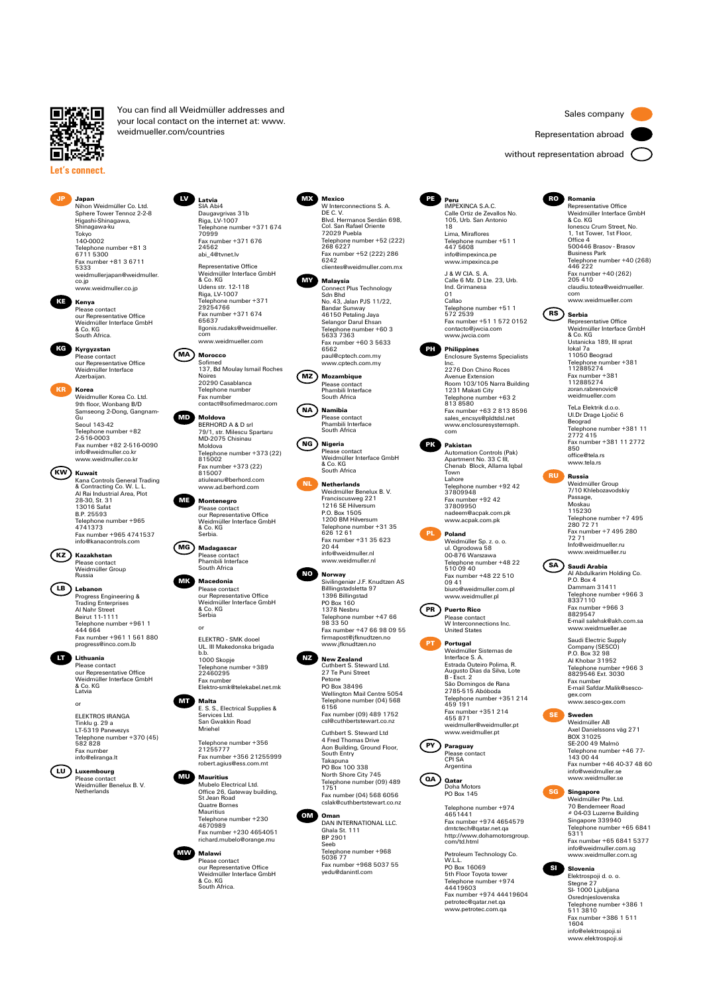

**Let's connect.**

**JP Japan**

Higashi-Shinagawa, Shinagawa-ku Tokyo 140-0002

You can find all Weidmüller addresses and your local contact on the internet at: www. weidmueller.com/countries

Nihon Weidmüller Co. Ltd. Sphere Tower Tennoz 2-2-8 **LV Latvia** SIA Abi4

Telephone number +81 3<br>6711 5300 6711 5300 Fax number +81 3 6711 5333 weidmullerjapan@weidmuller. co.jp www.weidmuller.co.jp

**KE Kenya** Please contact our Representative Office Weidmüller Interface GmbH & Co. KG South Africa.

> **Kyrgyzstan** , person<br>e contact our Representative Office Weidmüller Interface Azerbaijan.

**Korea**<br>Weidmuller Korea Co. Ltd. Weidmuller Korea Co. Ltd.<br>9th floor, Wonbang B/D<br>Samseong 2-Dong, Gangnam-<br>Gu<br>Telephone number +82<br>Telephone number +82<br>2-516-0003<br>info@weidmuller.co.kr www.weidmuller.co.kr

**KW Kuwait** Kana Controls General Trading & Contracting Co. W. L. L. Al Rai Industrial Area, Plot 28-30, St. 31 13016 Safat B.P. 25593 Telephone number +965 4741373 Fax number +965 4741537 info@kanacontrols.com

**KZ Kazakhstan** Please contact Weidmüller Group Russia

**LB Lebanon** Progress Engineering & Trading Enterprises Al Nahr Street Beirut 11-1111 Telephone number +961 1 444 664 Fax number +961 1 561 880 progress@inco.com.lb

**Lithuania**<br>
Please contact<br>
our Representative Office<br>
Weidmüller Interface GmbH<br>
& Co. KG<br>
Latvia

ELEKTROS IRANGA Tinklu g. 29 a LT-5319 Panevezys Telephone number +370 (45) 582 828 Fax number info@eliranga.lt or

**LU Luxembourg** Please contact Weidmüller Benelux B. V. Netherlands

Daugavgrivas 31b Riga, LV-1007 ...<sub>...</sub>...........<br>Telephone number +371 674<br>70999 70999 Fax number +371 676 24562 abi\_4@tvnet.lv Representative Office Weidmüller Interface GmbH & Co. KG & Co. Kd<br>Udens str. 12-118<br>Riga, LV-1007 Riga, LV-1007 Telephone number +371 29254766 Fax number +371 674



65637 Ilgonis.rudaks@weidmueller. com www.weidmueller.com



Weidmüller Interface GmbH & Co. KG Serbia.

**MG Madagascar** Please contact Phambili Interface South Africa

**MK Macedonia** Please contact our Representative Office Weidmüller Interface GmbH & Co. KG Serbia

> ELEKTRO - SMK dooel UL. III Makedonska brigada b.b. 1000 Skopje Telephone number +389 22460295 Fax number Elektro-smk@telekabel.net.mk or

**MT Malta** E. S. S., Electrical Supplies & Services Ltd. San Gwakkin Road Mriehel

> Telephone number +356 21255777 Fax number +356 21255999 robert.agius@ess.com.mt

**MU Mauritius** Mubelo Electrical Ltd. Office 26, Gateway building, St Jean Road Quatre Bornes Mauritius Telephone number +230 4670989 Fax number +230 4654051 richard.mubelo@orange.mu



**MX Mexico** W Interconnections S. A. DE C. V. Blvd. Hermanos Serdán 698, Col. San Rafael Oriente 72029 Puebla Telephone number +52 (222) 268 6227 Fax number +52 (222) 286 6242 clientes@weidmuller.com.mx

**MY Malaysia** Connect Plus Technology Sdn Bhd No. 43, Jalan PJS 11/22, Bandar Sunway 46150 Petaling Jaya Selangor Darul Ehsan Telephone number +60 3 5633 7363 Fax number +60 3 5633 6562 paul@cptech.com.my

www.cptech.com.m **MZ Mozambique** Please contact Phambili Interface South Africa

**NA Namibia** Please contact Phambili Interface South Africa

**NG Nigeria** Please contact Weidmüller Interface GmbH & Co. KG South Africa

> **NL Netherlands** Weidmüller Benelux B. V. Franciscusweg 221 1216 SE Hilversum P.O. Box 1505 1200 BM Hilversum Telephone number +31 35 626 12 61 Fax number +31 35 623 20 44 info@weidmuller.nl www.weidmuller.nl

**NO Norway** Sivilingeniør J.F. Knudtzen AS Billlingstadsletta 97 1396 Billingstad PO Box 160 1378 Nesbru Telephone number +47 66 98 33 50 Fax number +47 66 98 09 55



Telephone number (04) 568 6156 Fax number (09) 489 1752 csl@cuthbertstewart.co.nz Cuthbert S. Steward Ltd

4 Fred Thomas Drive Aon Building, Ground Floor, South Entry Takapuna<br>PO Box 100 338 PO Box 100 338 North Shore City 745 Telephone number (09) 489 1751 Fax number (04) 568 6056 cslak@cuthbertstewart.co.nz

**OM Oman** DAN INTERNATIONAL LLC. Ghala St. 111 BP 2901 Seeb Telephone number +968 5036 77 Fax number +968 5037 55 yedu@danintl.com



**Peru**<br> **IMPEXINCA S.A.C.** Calle Ortiz de Zevallos No. 105, Urb. San Antonio 18 Lima, Miraflores

Telephone number +51 1<br>447 5608 447 5608 info@impexinca.pe www.impexinca.pe J & W CIA. S. A. Calle 6 Mz. D Lte. 23, Urb. Ind. Grimanesa

01 Callao Telephone number +51 1 572 2539 Fax number +51 1 572 0152 contacto@jwcia.com www.jwcia.com



Enclosure Systems Specialists Inc. 2276 Don Chino Roces Avenue Extension<br>Room 103/105 Narra Building<br>1231 Makati City<br>Telephone number +63 2<br>813 8580<br>Fax number +63 2 813 8596<br>sales\_encsys@pldtdsl.net<br>sales\_encsys@pldtdsl.net<br>www.enclosuresystemsph.



com

**PK Pakistan** Automation Controls (Pak) Apartment No. 33 C III, Chenab Block, Allama Iqbal Town Lahore Telephone number +92 42 37809948 Fax number +92 42 37809950

nadeem@acpak.com.pk www.acpak.com.pk **PL Poland** Weidmüller Sp. z. o. o. ul. Ogrodowa 58<br>00-876 Warszawa

00-876 Warszawa Telephone number +48 22 510 09 40 Fax number +48 22 510 09 41 biuro@weidmuller.com.pl www.weidmuller.pl

**PR Puerto Rico** Please contact W Interconnections Inc. United States



Weidmüller Sistemas de Interface S. A. Estrada Outeiro Polima, R. Augusto Dias da Silva, Lote B - Esct. 2 São Domingos de Rana<br>2785-515 Abóboda 2785-515 Abóboda Telephone number +351 214 459 191 Fax number +351 214 455 871 weidmuller@weidmuller.pt www.weidmuller.pt

**PY Paraguay** Please contact CPI SA Argentina



Telephone number +974 4651441 Fax number +974 4654579 dmtctech@qatar.net.qa http://www.dohamotorsgroup. com/td.html

Petroleum Technology Co. W.L.L.<br>PO Box 16069<br>5th Floor Toyota tower<br>Telephone number +974<br>44419603<br>Fax number +974 44419604 petrotec@qatar.net.qa www.petrotec.com.qa



**RO Romania** Representative Office Weidmüller Interface GmbH<br>& Co. KG & Co. KG Ionescu Crum Street, No. 1, 1st Tower, 1st Floor, Office 4 500446 Brasov - Brasov Business Park Telephone number +40 (268) 446 222 Fax number +40 (262) 205 410 claudiu.totea@weidmueller. com www.weidmueller.com

**RS Serbia** Representative Office Weidmüller Interface GmbH & Co. KG Ustanicka 189, III sprat lokal 7a 11050 Beograd Telephone number +381 112885274 Fax number +381 112885274 zoran.rabrenovic@ weidmueller.com

TeLa Elektrik d.o.o. Ul.Dr Drage Ljočić 6 Beograd Telephone number +381 11 2772 415 Fax number +381 11 2772 850 office@tela.rs www.tela.rs



**RU Russia**<br>
Weidmüller Group<br>
7/10 Khlebozavodskiy<br>
Passage,<br>
Moskau 115230 Telephone number +7 495 280 72 71 Fax number +7 495 280 72 71 Info@weidmueller.ru www.weidmueller.ru

**SA Saudi Arabia** Al Abdulkarim Holding Co. P.O. Box 4 Dammam 31411 Telephone number +966 3 8337110 Fax number +966 3 8829547 E-mail salehsk@akh.com.sa

www.weidmueller.ae Saudi Electric Supply Company (SESCO) P.O. Box 32 98 Al Khobar 31952 Telephone number +966 3 8829546 Ext. 3030 Fax number E-mail Safdar.Malik@sescogex.com www.sesco-gex.com

**SE Sweden** Weidmüller AB Axel Danielssons väg 271 BOX 31025 SE-200 49 Malmö Telephone number +46 77- 143 00 44 Fax number +46 40-37 48 60 info@weidmuller.se www.weidmuller.se



Fax number +65 6841 5377 info@weidmuller.com.sg www.weidmuller.com.sg **SI Slovenia**

Elektrospoji d. o. o. Stegne 27 SI- 1000 Ljubljana Osrednjeslovenska Telephone number +386 1 511 3810 Fax number +386 1 511 1604 info@elektrospoji.si www.elektrospoji.si